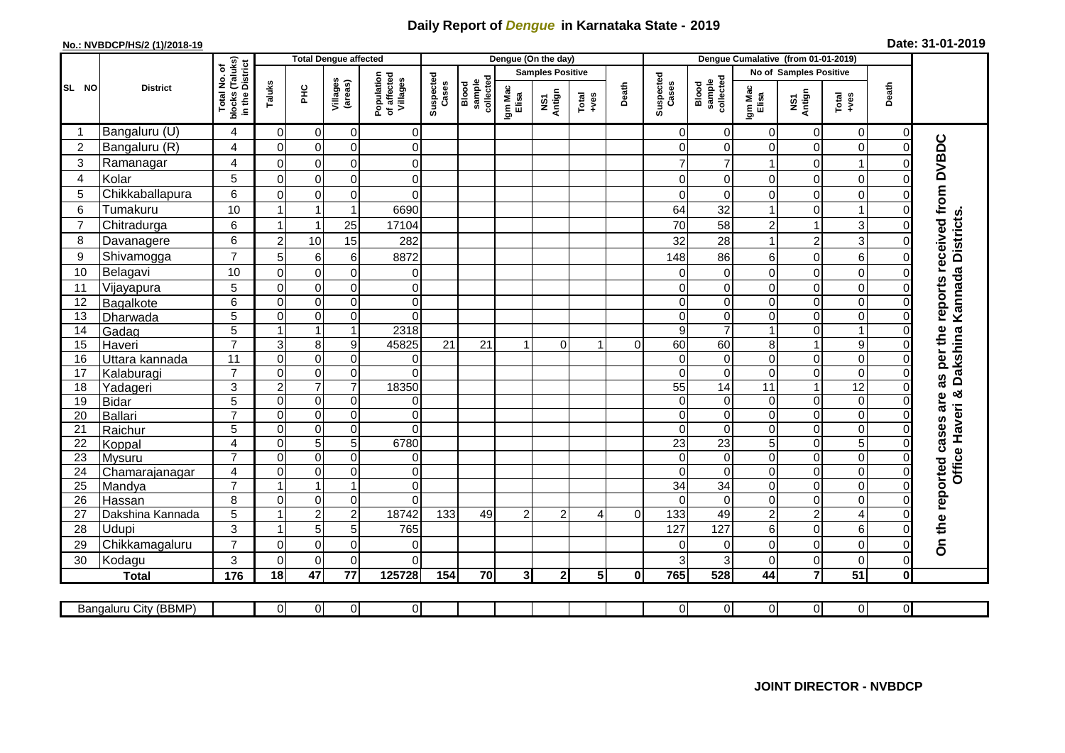## **Daily Report of** *Dengue* **in Karnataka State - 2019**

| Date: 31-01-2019<br>No.: NVBDCP/HS/2 (1)/2018-19 |                       |                                                 |                            |                                  |                               |                                       |                    |                              |                         |                                                                               |                |                    |                              |                            |                                     |                            |                         |                  |                                        |
|--------------------------------------------------|-----------------------|-------------------------------------------------|----------------------------|----------------------------------|-------------------------------|---------------------------------------|--------------------|------------------------------|-------------------------|-------------------------------------------------------------------------------|----------------|--------------------|------------------------------|----------------------------|-------------------------------------|----------------------------|-------------------------|------------------|----------------------------------------|
|                                                  | <b>District</b>       |                                                 |                            |                                  | <b>Total Dengue affected</b>  |                                       |                    |                              |                         | Dengue (On the day)                                                           |                |                    |                              |                            | Dengue Cumalative (from 01-01-2019) |                            |                         |                  |                                        |
| SL NO                                            |                       | ৳                                               |                            |                                  |                               | Population<br>of affected<br>Villages | Suspected<br>Cases |                              | <b>Samples Positive</b> |                                                                               |                |                    |                              |                            | No of Samples Positive              |                            |                         |                  |                                        |
|                                                  |                       | blocks (Taluks)<br>in the District<br>Total No. | Taluks                     | $rac{C}{\pi}$                    | Villages<br>(areas)           |                                       |                    | sample<br>collected<br>Blood | Igm Mac<br>Elisa        | NS1<br>Antign<br>$\begin{array}{c}\n\text{Total} \\ \text{Area}\n\end{array}$ | Death          | Suspected<br>Cases | sample<br>collected<br>Blood | Igm Mac<br>Elisa           | NS1<br>Antign                       | Total<br>+ves              | Death                   |                  |                                        |
| -1                                               | Bangaluru (U)         | $\overline{4}$                                  | $\overline{0}$             | $\overline{0}$                   | 0                             | 0                                     |                    |                              |                         |                                                                               |                |                    | 0                            | $\overline{0}$             | $\Omega$                            | $\Omega$                   | $\Omega$                | 0                |                                        |
| $\overline{2}$                                   | Bangaluru (R)         | 4                                               | $\overline{0}$             | $\overline{0}$                   | $\mathbf 0$                   | 0                                     |                    |                              |                         |                                                                               |                |                    | $\mathbf 0$                  | $\Omega$                   | $\Omega$                            | $\Omega$                   | $\Omega$                | $\Omega$         | as per the reports received from DVBDC |
| 3                                                | Ramanagar             | $\overline{4}$                                  | $\overline{0}$             | $\overline{0}$                   | $\pmb{0}$                     | 0                                     |                    |                              |                         |                                                                               |                |                    | $\overline{7}$               | $\overline{7}$             | 1                                   | 0                          |                         |                  |                                        |
| 4                                                | Kolar                 | 5                                               | $\overline{0}$             | $\overline{0}$                   | $\pmb{0}$                     | 0                                     |                    |                              |                         |                                                                               |                |                    | 0                            | $\mathsf{O}\xspace$        | $\mathsf 0$                         | 0                          | $\mathbf 0$             |                  |                                        |
| 5                                                | Chikkaballapura       | $6\phantom{1}6$                                 | $\overline{0}$             | $\overline{0}$                   | $\mathbf 0$                   | $\mathbf 0$                           |                    |                              |                         |                                                                               |                |                    | $\mathbf 0$                  | $\mathbf 0$                | $\mathbf 0$                         | $\Omega$                   | $\Omega$                | 0                |                                        |
| 6                                                | Tumakuru              | 10                                              | $\overline{1}$             | $\mathbf{1}$                     | $\overline{1}$                | 6690                                  |                    |                              |                         |                                                                               |                |                    | 64                           | 32                         | $\overline{1}$                      | 0                          |                         | 0                |                                        |
| $\overline{7}$                                   | Chitradurga           | 6                                               | 1                          | $\mathbf{1}$                     | 25                            | 17104                                 |                    |                              |                         |                                                                               |                |                    | 70                           | 58                         | $\overline{c}$                      |                            | 3                       | O                |                                        |
| 8                                                | Davanagere            | $6\phantom{1}$                                  | $\overline{a}$             | 10                               | 15                            | 282                                   |                    |                              |                         |                                                                               |                |                    | 32                           | 28                         | $\overline{1}$                      | $\overline{c}$             | 3                       | $\Omega$         |                                        |
| 9                                                | Shivamogga            | $\overline{7}$                                  | 5                          | $6\vert$                         | $\,6$                         | 8872                                  |                    |                              |                         |                                                                               |                |                    | 148                          | 86                         | 6                                   | $\Omega$                   | 6                       | $\Omega$         |                                        |
| 10                                               | Belagavi              | 10                                              | $\overline{0}$             | $\overline{0}$                   | $\mathbf 0$                   | 0                                     |                    |                              |                         |                                                                               |                |                    | 0                            | $\overline{0}$             | $\pmb{0}$                           | $\Omega$                   | 0                       | 0                | Kannada Districts                      |
| 11                                               | Vijayapura            | 5                                               | $\overline{0}$             | $\overline{0}$                   | $\mathbf 0$                   | 0                                     |                    |                              |                         |                                                                               |                |                    | $\mathbf 0$                  | $\overline{0}$             | 0                                   | $\Omega$                   | $\mathbf 0$             | 0                |                                        |
| 12                                               | Bagalkote             | 6                                               | $\overline{0}$             | $\overline{0}$                   | $\overline{0}$                | 0                                     |                    |                              |                         |                                                                               |                |                    | 0                            | $\overline{0}$             | $\overline{0}$                      | $\Omega$                   | $\mathbf 0$             | 0                |                                        |
| 13                                               | Dharwada              | $\overline{5}$                                  | $\overline{0}$             | $\overline{0}$                   | $\overline{\mathbf{0}}$       | 0                                     |                    |                              |                         |                                                                               |                |                    | $\mathbf 0$                  | $\overline{0}$             | $\overline{\mathsf{o}}$             | $\mathbf 0$                | $\Omega$                | $\Omega$         |                                        |
| 14                                               | Gadag                 | $\overline{5}$                                  | $\mathbf{1}$               | $\overline{1}$                   | $\overline{1}$                | 2318                                  |                    |                              |                         |                                                                               |                |                    | $\overline{9}$               | $\overline{7}$             | $\overline{1}$                      | O                          |                         | $\Omega$         | <b>Dakshina</b>                        |
| 15                                               | Haveri                | $\overline{7}$                                  | 3 <sup>1</sup>             | 8 <sup>1</sup>                   | $9\,$                         | 45825                                 | 21                 | 21                           |                         | $\Omega$                                                                      |                | $\Omega$           | 60                           | 60                         | 8                                   |                            | $\overline{9}$          | $\Omega$         |                                        |
| 16                                               | Uttara kannada        | $\overline{11}$                                 | $\overline{0}$             | $\overline{0}$                   | $\overline{0}$                | 0                                     |                    |                              |                         |                                                                               |                |                    | 0                            | $\overline{0}$             | $\overline{\mathsf{o}}$             | $\Omega$                   | $\Omega$                | $\mathbf 0$      |                                        |
| 17                                               | Kalaburagi            | $\overline{7}$                                  | $\overline{0}$             | $\overline{0}$                   | $\pmb{0}$                     | $\Omega$                              |                    |                              |                         |                                                                               |                |                    | $\mathbf 0$                  | $\overline{0}$             | $\mathbf 0$                         | $\Omega$                   | $\Omega$                | $\Omega$         |                                        |
| 18                                               | Yadageri              | $\mathbf{3}$                                    | $\overline{2}$             | $\overline{7}$                   | $\overline{7}$                | 18350                                 |                    |                              |                         |                                                                               |                |                    | $\overline{55}$              | $\overline{14}$            | 11                                  |                            | $\overline{12}$         | $\Omega$         | න්                                     |
| 19                                               | <b>Bidar</b>          | 5<br>$\overline{7}$                             | $\overline{0}$             | $\overline{0}$<br>$\overline{0}$ | $\pmb{0}$                     | 0                                     |                    |                              |                         |                                                                               |                |                    | $\mathbf 0$                  | $\mathbf 0$                | $\mathbf 0$                         | $\overline{0}$             | $\mathbf 0$             | $\Omega$         |                                        |
| 20                                               | Ballari               | 5                                               | $\overline{0}$<br>$\Omega$ | $\overline{0}$                   | $\overline{0}$<br>$\mathbf 0$ | $\mathbf 0$<br>$\Omega$               |                    |                              |                         |                                                                               |                |                    | $\pmb{0}$<br>$\mathbf 0$     | $\overline{0}$<br>$\Omega$ | $\overline{\mathsf{o}}$<br>$\Omega$ | $\overline{0}$<br>$\Omega$ | $\mathbf 0$<br>$\Omega$ | $\mathbf 0$<br>0 |                                        |
| 21<br>22                                         | Raichur<br>Koppal     | $\overline{4}$                                  | $\overline{0}$             | $\overline{5}$                   | $\overline{5}$                | 6780                                  |                    |                              |                         |                                                                               |                |                    | 23                           | 23                         | $\overline{5}$                      | O                          | $\overline{5}$          | $\mathbf 0$      |                                        |
| $\overline{23}$                                  | <b>Mysuru</b>         | $\overline{7}$                                  | $\overline{0}$             | $\overline{0}$                   | $\mathbf 0$                   | 0                                     |                    |                              |                         |                                                                               |                |                    | $\mathbf 0$                  | $\overline{0}$             | $\pmb{0}$                           | $\Omega$                   | $\Omega$                | $\Omega$         |                                        |
| 24                                               | Chamarajanagar        | $\overline{4}$                                  | $\overline{0}$             | $\overline{0}$                   | $\pmb{0}$                     | 0                                     |                    |                              |                         |                                                                               |                |                    | $\mathbf 0$                  | $\Omega$                   | $\mathbf 0$                         | $\Omega$                   | $\Omega$                | $\Omega$         | Office Haveri                          |
| 25                                               | Mandya                | $\overline{7}$                                  | $\mathbf{1}$               | $\overline{1}$                   | $\mathbf{1}$                  | $\overline{0}$                        |                    |                              |                         |                                                                               |                |                    | $\overline{34}$              | 34                         | $\overline{0}$                      | $\overline{0}$             | $\Omega$                | $\Omega$         |                                        |
| 26                                               | Hassan                | 8                                               | $\overline{0}$             | $\overline{0}$                   | $\overline{\mathbf{0}}$       | $\Omega$                              |                    |                              |                         |                                                                               |                |                    | $\mathbf 0$                  | $\overline{0}$             | $\mathsf{O}\xspace$                 | O                          | 0                       | $\mathbf 0$      |                                        |
| 27                                               | Dakshina Kannada      | 5                                               | $\mathbf{1}$               | $\overline{2}$                   | $\overline{2}$                | 18742                                 | 133                | 49                           | $\overline{2}$          | $\overline{2}$                                                                | $\overline{A}$ | $\Omega$           | $\overline{133}$             | $\overline{49}$            | $\overline{2}$                      | $\overline{2}$             | 4                       | $\Omega$         |                                        |
| 28                                               | Udupi                 | $\mathbf{3}$                                    | $\mathbf{1}$               | 5                                | 5                             | 765                                   |                    |                              |                         |                                                                               |                |                    | 127                          | 127                        | 6                                   | $\Omega$                   | 6                       |                  |                                        |
| 29                                               | Chikkamagaluru        | $\overline{7}$                                  | $\Omega$                   | $\overline{0}$                   | $\mathbf 0$                   | 0                                     |                    |                              |                         |                                                                               |                |                    | $\mathbf 0$                  | $\overline{0}$             | $\Omega$                            | $\Omega$                   | $\Omega$                | 0                | On the reported cases are              |
| 30                                               | Kodagu                | 3                                               | $\overline{0}$             | $\overline{0}$                   | $\mathbf 0$                   | $\Omega$                              |                    |                              |                         |                                                                               |                |                    | 3                            | 3                          | 0                                   | $\mathbf{0}$               | $\Omega$                | $\Omega$         |                                        |
|                                                  | <b>Total</b>          | 176                                             | $\overline{18}$            | $\overline{47}$                  | $\overline{77}$               | 125728                                | 154                | 70                           | 3 <sup>l</sup>          | 2 <sub>l</sub>                                                                | 5 <sub>l</sub> | $\mathbf{0}$       | 765                          | 528                        | 44                                  | $\overline{7}$             | 51                      | <sup>0</sup>     |                                        |
|                                                  |                       |                                                 |                            |                                  |                               |                                       |                    |                              |                         |                                                                               |                |                    |                              |                            |                                     |                            |                         |                  |                                        |
|                                                  | Bangaluru City (BBMP) |                                                 | $\overline{0}$             | $\overline{0}$                   | $\overline{0}$                | $\overline{0}$                        |                    |                              |                         |                                                                               |                |                    | $\overline{0}$               | $\overline{0}$             | $\overline{0}$                      | $\overline{0}$             | $\Omega$                | $\overline{0}$   |                                        |